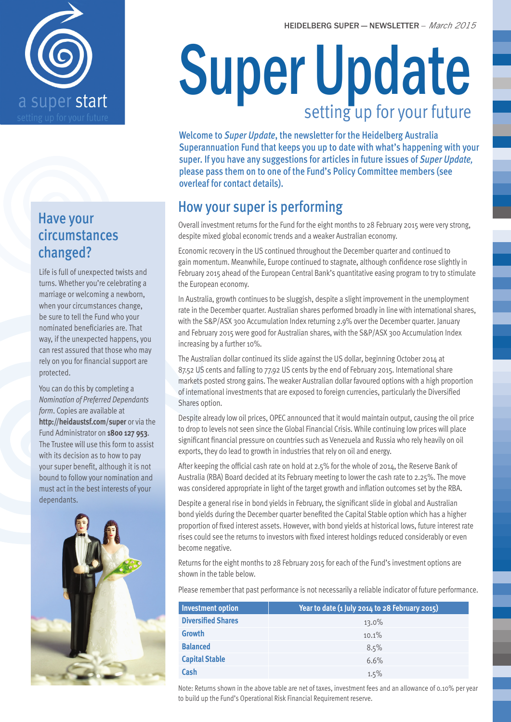

# Have your circumstances changed?

Life is full of unexpected twists and turns. Whether you're celebrating a marriage or welcoming a newborn, when your circumstances change, be sure to tell the Fund who your nominated beneficiaries are. That way, if the unexpected happens, you can rest assured that those who may rely on you for financial support are protected.

You can do this by completing a *Nomination of Preferred Dependants form*. Copies are available at **http://heidaustsf.com/super** or via the Fund Administrator on **1800 127 953**. The Trustee will use this form to assist with its decision as to how to pay your super benefit, although it is not bound to follow your nomination and must act in the best interests of your dependants.



# Super Update setting up for your future

Welcome to *Super Update*, the newsletter for the Heidelberg Australia Superannuation Fund that keeps you up to date with what's happening with your super. If you have any suggestions for articles in future issues of *Super Update,* please pass them on to one of the Fund's Policy Committee members (see overleaf for contact details).

# How your super is performing

Overall investment returns for the Fund for the eight months to 28 February 2015 were very strong, despite mixed global economic trends and a weaker Australian economy.

Economic recovery in the US continued throughout the December quarter and continued to gain momentum. Meanwhile, Europe continued to stagnate, although confidence rose slightly in February 2015 ahead of the European Central Bank's quantitative easing program to try to stimulate the European economy.

In Australia, growth continues to be sluggish, despite a slight improvement in the unemployment rate in the December quarter. Australian shares performed broadly in line with international shares, with the S&P/ASX 300 Accumulation Index returning 2.9% over the December quarter. January and February 2015 were good for Australian shares, with the S&P/ASX 300 Accumulation Index increasing by a further 10%.

The Australian dollar continued its slide against the US dollar, beginning October 2014 at 87.52 US cents and falling to 77.92 US cents by the end of February 2015. International share markets posted strong gains. The weaker Australian dollar favoured options with a high proportion of international investments that are exposed to foreign currencies, particularly the Diversified Shares option.

Despite already low oil prices, OPEC announced that it would maintain output, causing the oil price to drop to levels not seen since the Global Financial Crisis. While continuing low prices will place significant financial pressure on countries such as Venezuela and Russia who rely heavily on oil exports, they do lead to growth in industries that rely on oil and energy.

After keeping the official cash rate on hold at 2.5% for the whole of 2014, the Reserve Bank of Australia (RBA) Board decided at its February meeting to lower the cash rate to 2.25%. The move was considered appropriate in light of the target growth and inflation outcomes set by the RBA.

Despite a general rise in bond yields in February, the significant slide in global and Australian bond yields during the December quarter benefited the Capital Stable option which has a higher proportion of fixed interest assets. However, with bond yields at historical lows, future interest rate rises could see the returns to investors with fixed interest holdings reduced considerably or even become negative.

Returns for the eight months to 28 February 2015 for each of the Fund's investment options are shown in the table below.

Please remember that past performance is not necessarily a reliable indicator of future performance.

| <b>Investment option</b>  | Year to date (1 July 2014 to 28 February 2015) |
|---------------------------|------------------------------------------------|
| <b>Diversified Shares</b> | $13.0\%$                                       |
| <b>Growth</b>             | 10.1%                                          |
| <b>Balanced</b>           | 8.5%                                           |
| <b>Capital Stable</b>     | 6.6%                                           |
| Cash                      | 1.5%                                           |

Note: Returns shown in the above table are net of taxes, investment fees and an allowance of 0.10% per year to build up the Fund's Operational Risk Financial Requirement reserve.